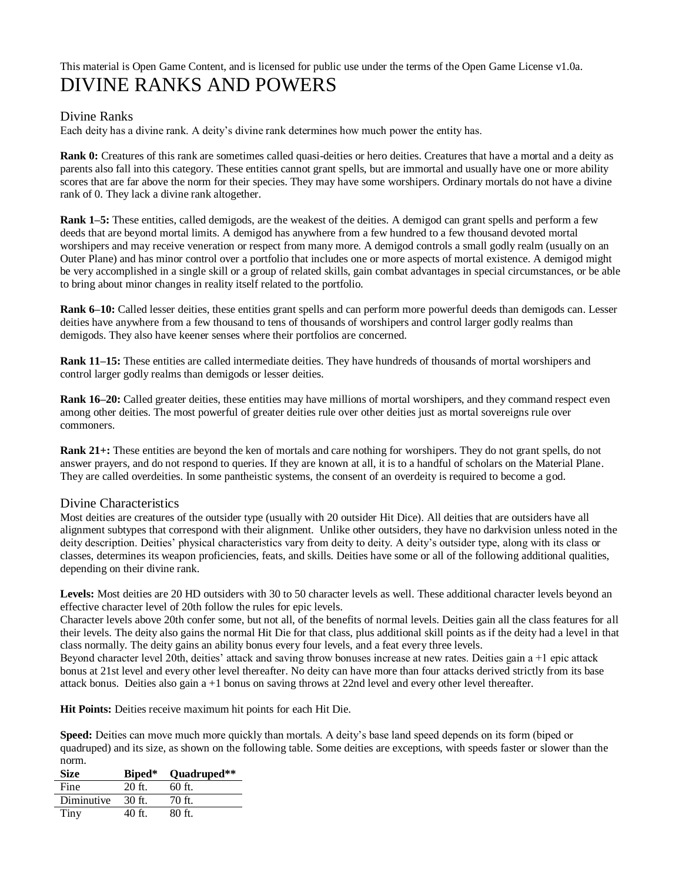## This material is Open Game Content, and is licensed for public use under the terms of the Open Game License v1.0a. DIVINE RANKS AND POWERS

## Divine Ranks

Each deity has a divine rank. A deity's divine rank determines how much power the entity has.

**Rank 0:** Creatures of this rank are sometimes called quasi-deities or hero deities. Creatures that have a mortal and a deity as parents also fall into this category. These entities cannot grant spells, but are immortal and usually have one or more ability scores that are far above the norm for their species. They may have some worshipers. Ordinary mortals do not have a divine rank of 0. They lack a divine rank altogether.

**Rank 1–5:** These entities, called demigods, are the weakest of the deities. A demigod can grant spells and perform a few deeds that are beyond mortal limits. A demigod has anywhere from a few hundred to a few thousand devoted mortal worshipers and may receive veneration or respect from many more. A demigod controls a small godly realm (usually on an Outer Plane) and has minor control over a portfolio that includes one or more aspects of mortal existence. A demigod might be very accomplished in a single skill or a group of related skills, gain combat advantages in special circumstances, or be able to bring about minor changes in reality itself related to the portfolio.

**Rank 6–10:** Called lesser deities, these entities grant spells and can perform more powerful deeds than demigods can. Lesser deities have anywhere from a few thousand to tens of thousands of worshipers and control larger godly realms than demigods. They also have keener senses where their portfolios are concerned.

**Rank 11–15:** These entities are called intermediate deities. They have hundreds of thousands of mortal worshipers and control larger godly realms than demigods or lesser deities.

**Rank 16–20:** Called greater deities, these entities may have millions of mortal worshipers, and they command respect even among other deities. The most powerful of greater deities rule over other deities just as mortal sovereigns rule over commoners.

**Rank 21+:** These entities are beyond the ken of mortals and care nothing for worshipers. They do not grant spells, do not answer prayers, and do not respond to queries. If they are known at all, it is to a handful of scholars on the Material Plane. They are called overdeities. In some pantheistic systems, the consent of an overdeity is required to become a god.

## Divine Characteristics

Most deities are creatures of the outsider type (usually with 20 outsider Hit Dice). All deities that are outsiders have all alignment subtypes that correspond with their alignment. Unlike other outsiders, they have no darkvision unless noted in the deity description. Deities' physical characteristics vary from deity to deity. A deity's outsider type, along with its class or classes, determines its weapon proficiencies, feats, and skills. Deities have some or all of the following additional qualities, depending on their divine rank.

Levels: Most deities are 20 HD outsiders with 30 to 50 character levels as well. These additional character levels beyond an effective character level of 20th follow the rules for epic levels.

Character levels above 20th confer some, but not all, of the benefits of normal levels. Deities gain all the class features for all their levels. The deity also gains the normal Hit Die for that class, plus additional skill points as if the deity had a level in that class normally. The deity gains an ability bonus every four levels, and a feat every three levels.

Beyond character level 20th, deities' attack and saving throw bonuses increase at new rates. Deities gain a +1 epic attack bonus at 21st level and every other level thereafter. No deity can have more than four attacks derived strictly from its base attack bonus. Deities also gain a +1 bonus on saving throws at 22nd level and every other level thereafter.

**Hit Points:** Deities receive maximum hit points for each Hit Die.

**Speed:** Deities can move much more quickly than mortals. A deity's base land speed depends on its form (biped or quadruped) and its size, as shown on the following table. Some deities are exceptions, with speeds faster or slower than the norm.

| <b>Size</b> | Biped*   | Quadruped** |
|-------------|----------|-------------|
| Fine        | $20$ ft. | $60$ ft.    |
| Diminutive  | $30$ ft. | 70 ft.      |
| Tiny        | 40 ft.   | $80$ ft.    |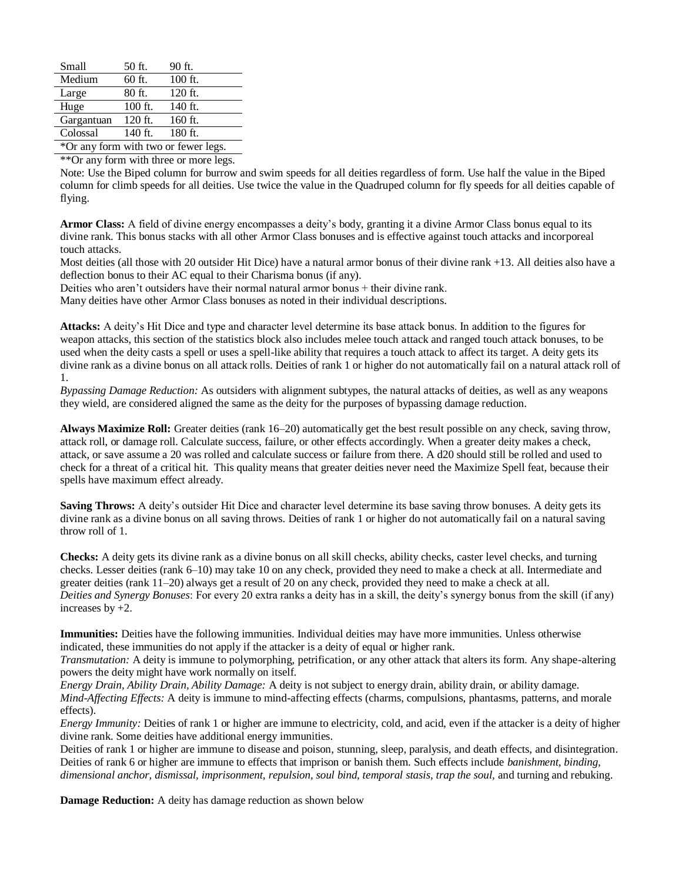| Small                                | 50 ft.    | 90 ft.    |
|--------------------------------------|-----------|-----------|
| Medium                               | 60 ft.    | $100$ ft. |
| Large                                | 80 ft.    | 120 ft.   |
| Huge                                 | $100$ ft. | 140 ft.   |
| Gargantuan                           | 120 ft.   | 160 ft.   |
| Colossal                             | 140 ft.   | 180 ft.   |
| *Or any form with two or fewer legs. |           |           |

\*\*Or any form with three or more legs.

Note: Use the Biped column for burrow and swim speeds for all deities regardless of form. Use half the value in the Biped column for climb speeds for all deities. Use twice the value in the Quadruped column for fly speeds for all deities capable of flying.

**Armor Class:** A field of divine energy encompasses a deity's body, granting it a divine Armor Class bonus equal to its divine rank. This bonus stacks with all other Armor Class bonuses and is effective against touch attacks and incorporeal touch attacks.

Most deities (all those with 20 outsider Hit Dice) have a natural armor bonus of their divine rank +13. All deities also have a deflection bonus to their AC equal to their Charisma bonus (if any).

Deities who aren't outsiders have their normal natural armor bonus + their divine rank.

Many deities have other Armor Class bonuses as noted in their individual descriptions.

**Attacks:** A deity's Hit Dice and type and character level determine its base attack bonus. In addition to the figures for weapon attacks, this section of the statistics block also includes melee touch attack and ranged touch attack bonuses, to be used when the deity casts a spell or uses a spell-like ability that requires a touch attack to affect its target. A deity gets its divine rank as a divine bonus on all attack rolls. Deities of rank 1 or higher do not automatically fail on a natural attack roll of 1.

*Bypassing Damage Reduction:* As outsiders with alignment subtypes, the natural attacks of deities, as well as any weapons they wield, are considered aligned the same as the deity for the purposes of bypassing damage reduction.

**Always Maximize Roll:** Greater deities (rank 16–20) automatically get the best result possible on any check, saving throw, attack roll, or damage roll. Calculate success, failure, or other effects accordingly. When a greater deity makes a check, attack, or save assume a 20 was rolled and calculate success or failure from there. A d20 should still be rolled and used to check for a threat of a critical hit. This quality means that greater deities never need the Maximize Spell feat, because their spells have maximum effect already.

**Saving Throws:** A deity's outsider Hit Dice and character level determine its base saving throw bonuses. A deity gets its divine rank as a divine bonus on all saving throws. Deities of rank 1 or higher do not automatically fail on a natural saving throw roll of 1.

**Checks:** A deity gets its divine rank as a divine bonus on all skill checks, ability checks, caster level checks, and turning checks. Lesser deities (rank 6–10) may take 10 on any check, provided they need to make a check at all. Intermediate and greater deities (rank 11–20) always get a result of 20 on any check, provided they need to make a check at all. *Deities and Synergy Bonuses*: For every 20 extra ranks a deity has in a skill, the deity's synergy bonus from the skill (if any) increases by +2.

**Immunities:** Deities have the following immunities. Individual deities may have more immunities. Unless otherwise indicated, these immunities do not apply if the attacker is a deity of equal or higher rank.

*Transmutation:* A deity is immune to polymorphing, petrification, or any other attack that alters its form. Any shape-altering powers the deity might have work normally on itself.

*Energy Drain, Ability Drain, Ability Damage:* A deity is not subject to energy drain, ability drain, or ability damage. *Mind-Affecting Effects:* A deity is immune to mind-affecting effects (charms, compulsions, phantasms, patterns, and morale effects).

*Energy Immunity:* Deities of rank 1 or higher are immune to electricity, cold, and acid, even if the attacker is a deity of higher divine rank. Some deities have additional energy immunities.

Deities of rank 1 or higher are immune to disease and poison, stunning, sleep, paralysis, and death effects, and disintegration. Deities of rank 6 or higher are immune to effects that imprison or banish them. Such effects include *banishment, binding, dimensional anchor, dismissal, imprisonment, repulsion, soul bind, temporal stasis, trap the soul,* and turning and rebuking.

**Damage Reduction:** A deity has damage reduction as shown below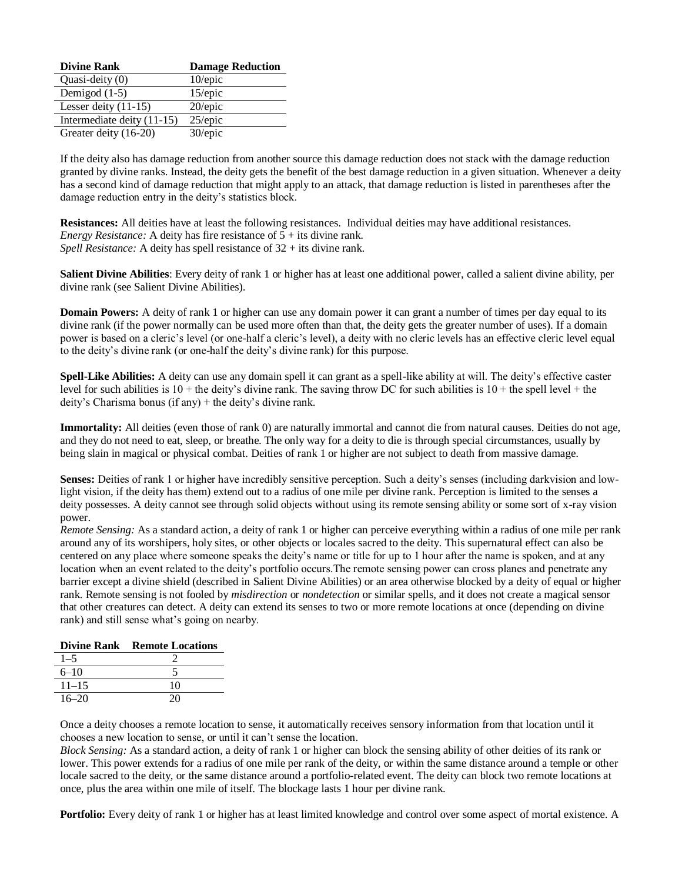| <b>Divine Rank</b>         | <b>Damage Reduction</b> |
|----------------------------|-------------------------|
| Quasi-deity (0)            | $10$ /epic              |
| Demigod $(1-5)$            | $15$ /epic              |
| Lesser deity $(11-15)$     | $20$ /epic              |
| Intermediate deity (11-15) | $25$ /epic              |
| Greater deity (16-20)      | 30/epic                 |

If the deity also has damage reduction from another source this damage reduction does not stack with the damage reduction granted by divine ranks. Instead, the deity gets the benefit of the best damage reduction in a given situation. Whenever a deity has a second kind of damage reduction that might apply to an attack, that damage reduction is listed in parentheses after the damage reduction entry in the deity's statistics block.

**Resistances:** All deities have at least the following resistances. Individual deities may have additional resistances. *Energy Resistance:* A deity has fire resistance of  $5 +$  its divine rank. *Spell Resistance:* A deity has spell resistance of 32 + its divine rank.

**Salient Divine Abilities**: Every deity of rank 1 or higher has at least one additional power, called a salient divine ability, per divine rank (see Salient Divine Abilities).

**Domain Powers:** A deity of rank 1 or higher can use any domain power it can grant a number of times per day equal to its divine rank (if the power normally can be used more often than that, the deity gets the greater number of uses). If a domain power is based on a cleric's level (or one-half a cleric's level), a deity with no cleric levels has an effective cleric level equal to the deity's divine rank (or one-half the deity's divine rank) for this purpose.

**Spell-Like Abilities:** A deity can use any domain spell it can grant as a spell-like ability at will. The deity's effective caster level for such abilities is  $10 +$  the deity's divine rank. The saving throw DC for such abilities is  $10 +$  the spell level + the deity's Charisma bonus (if any) + the deity's divine rank.

**Immortality:** All deities (even those of rank 0) are naturally immortal and cannot die from natural causes. Deities do not age, and they do not need to eat, sleep, or breathe. The only way for a deity to die is through special circumstances, usually by being slain in magical or physical combat. Deities of rank 1 or higher are not subject to death from massive damage.

**Senses:** Deities of rank 1 or higher have incredibly sensitive perception. Such a deity's senses (including darkvision and lowlight vision, if the deity has them) extend out to a radius of one mile per divine rank. Perception is limited to the senses a deity possesses. A deity cannot see through solid objects without using its remote sensing ability or some sort of x-ray vision power.

*Remote Sensing:* As a standard action, a deity of rank 1 or higher can perceive everything within a radius of one mile per rank around any of its worshipers, holy sites, or other objects or locales sacred to the deity. This supernatural effect can also be centered on any place where someone speaks the deity's name or title for up to 1 hour after the name is spoken, and at any location when an event related to the deity's portfolio occurs.The remote sensing power can cross planes and penetrate any barrier except a divine shield (described in Salient Divine Abilities) or an area otherwise blocked by a deity of equal or higher rank. Remote sensing is not fooled by *misdirection* or *nondetection* or similar spells, and it does not create a magical sensor that other creatures can detect. A deity can extend its senses to two or more remote locations at once (depending on divine rank) and still sense what's going on nearby.

|           | <b>Divine Rank Remote Locations</b> |
|-----------|-------------------------------------|
| $1 - 5$   |                                     |
| $6 - 10$  |                                     |
| $11 - 15$ | 10                                  |
| $16 - 20$ | 20                                  |

Once a deity chooses a remote location to sense, it automatically receives sensory information from that location until it chooses a new location to sense, or until it can't sense the location.

*Block Sensing:* As a standard action, a deity of rank 1 or higher can block the sensing ability of other deities of its rank or lower. This power extends for a radius of one mile per rank of the deity, or within the same distance around a temple or other locale sacred to the deity, or the same distance around a portfolio-related event. The deity can block two remote locations at once, plus the area within one mile of itself. The blockage lasts 1 hour per divine rank.

**Portfolio:** Every deity of rank 1 or higher has at least limited knowledge and control over some aspect of mortal existence. A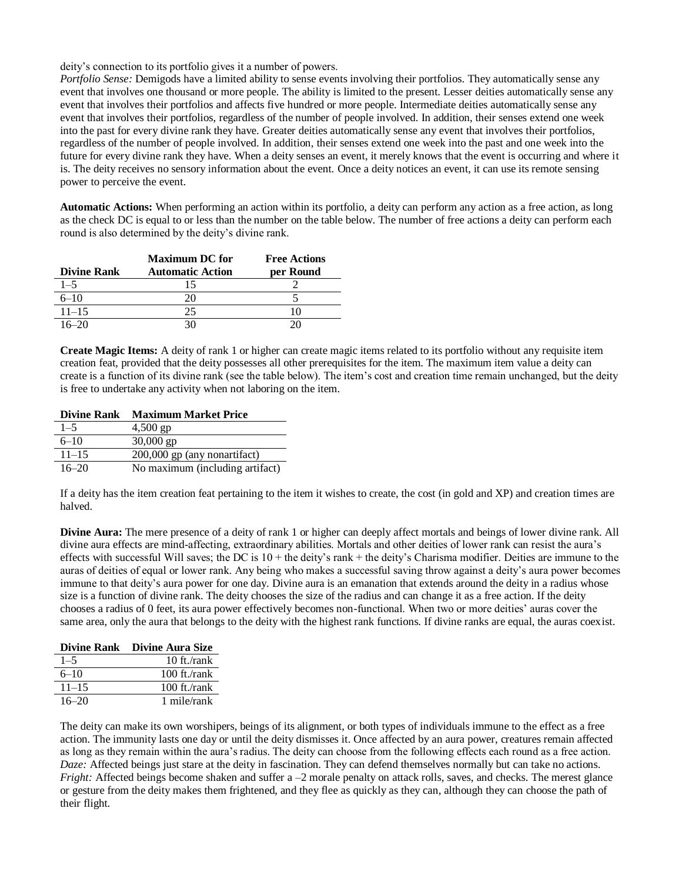deity's connection to its portfolio gives it a number of powers.

*Portfolio Sense:* Demigods have a limited ability to sense events involving their portfolios. They automatically sense any event that involves one thousand or more people. The ability is limited to the present. Lesser deities automatically sense any event that involves their portfolios and affects five hundred or more people. Intermediate deities automatically sense any event that involves their portfolios, regardless of the number of people involved. In addition, their senses extend one week into the past for every divine rank they have. Greater deities automatically sense any event that involves their portfolios, regardless of the number of people involved. In addition, their senses extend one week into the past and one week into the future for every divine rank they have. When a deity senses an event, it merely knows that the event is occurring and where it is. The deity receives no sensory information about the event. Once a deity notices an event, it can use its remote sensing power to perceive the event.

**Automatic Actions:** When performing an action within its portfolio, a deity can perform any action as a free action, as long as the check DC is equal to or less than the number on the table below. The number of free actions a deity can perform each round is also determined by the deity's divine rank.

|                    | <b>Maximum DC</b> for   | <b>Free Actions</b> |
|--------------------|-------------------------|---------------------|
| <b>Divine Rank</b> | <b>Automatic Action</b> | per Round           |
| $1 - 5$            |                         |                     |
| $6 - 10$           |                         |                     |
| $11 - 15$          | 25                      |                     |
| $16 - 20$          |                         |                     |

**Create Magic Items:** A deity of rank 1 or higher can create magic items related to its portfolio without any requisite item creation feat, provided that the deity possesses all other prerequisites for the item. The maximum item value a deity can create is a function of its divine rank (see the table below). The item's cost and creation time remain unchanged, but the deity is free to undertake any activity when not laboring on the item.

**Divine Rank Maximum Market Price**

| $1 - 5$   | $4,500$ gp                      |
|-----------|---------------------------------|
| $6 - 10$  | $30,000$ gp                     |
| $11 - 15$ | 200,000 gp (any nonartifact)    |
| $16 - 20$ | No maximum (including artifact) |

If a deity has the item creation feat pertaining to the item it wishes to create, the cost (in gold and XP) and creation times are halved.

**Divine Aura:** The mere presence of a deity of rank 1 or higher can deeply affect mortals and beings of lower divine rank. All divine aura effects are mind-affecting, extraordinary abilities. Mortals and other deities of lower rank can resist the aura's effects with successful Will saves; the DC is 10 + the deity's rank + the deity's Charisma modifier. Deities are immune to the auras of deities of equal or lower rank. Any being who makes a successful saving throw against a deity's aura power becomes immune to that deity's aura power for one day. Divine aura is an emanation that extends around the deity in a radius whose size is a function of divine rank. The deity chooses the size of the radius and can change it as a free action. If the deity chooses a radius of 0 feet, its aura power effectively becomes non-functional. When two or more deities' auras cover the same area, only the aura that belongs to the deity with the highest rank functions. If divine ranks are equal, the auras coexist.

|           | Divine Rank Divine Aura Size |
|-----------|------------------------------|
| $1 - 5$   | 10 ft./ $rank$               |
| $6 - 10$  | 100 ft./ $rank$              |
| $11 - 15$ | $100$ ft./rank               |
| $16 - 20$ | 1 mile/rank                  |

The deity can make its own worshipers, beings of its alignment, or both types of individuals immune to the effect as a free action. The immunity lasts one day or until the deity dismisses it. Once affected by an aura power, creatures remain affected as long as they remain within the aura's radius. The deity can choose from the following effects each round as a free action. *Daze:* Affected beings just stare at the deity in fascination. They can defend themselves normally but can take no actions. *Fright:* Affected beings become shaken and suffer a –2 morale penalty on attack rolls, saves, and checks. The merest glance or gesture from the deity makes them frightened, and they flee as quickly as they can, although they can choose the path of their flight.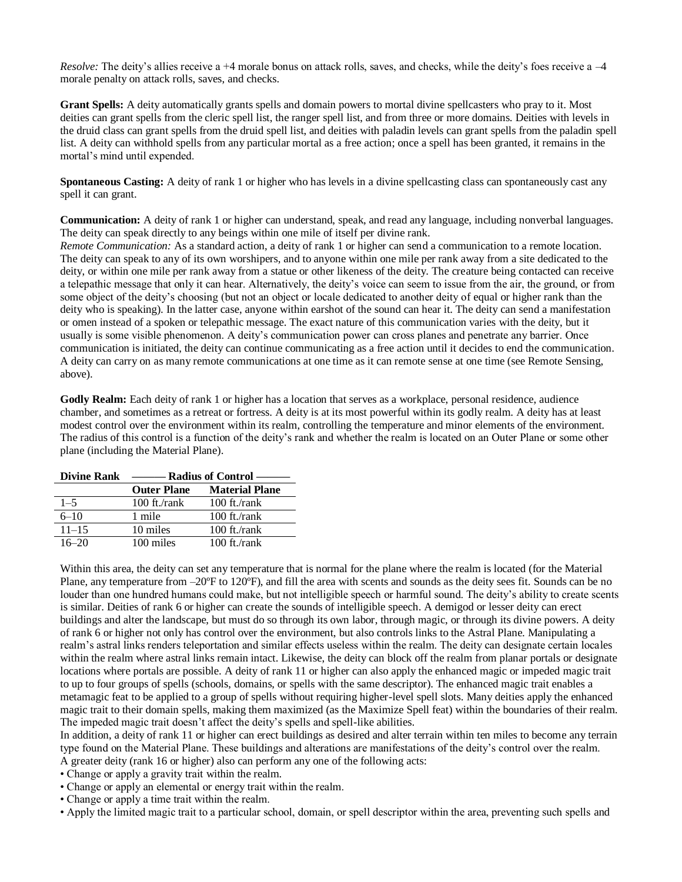*Resolve:* The deity's allies receive a +4 morale bonus on attack rolls, saves, and checks, while the deity's foes receive a -4 morale penalty on attack rolls, saves, and checks.

**Grant Spells:** A deity automatically grants spells and domain powers to mortal divine spellcasters who pray to it. Most deities can grant spells from the cleric spell list, the ranger spell list, and from three or more domains. Deities with levels in the druid class can grant spells from the druid spell list, and deities with paladin levels can grant spells from the paladin spell list. A deity can withhold spells from any particular mortal as a free action; once a spell has been granted, it remains in the mortal's mind until expended.

**Spontaneous Casting:** A deity of rank 1 or higher who has levels in a divine spellcasting class can spontaneously cast any spell it can grant.

**Communication:** A deity of rank 1 or higher can understand, speak, and read any language, including nonverbal languages. The deity can speak directly to any beings within one mile of itself per divine rank.

*Remote Communication:* As a standard action, a deity of rank 1 or higher can send a communication to a remote location. The deity can speak to any of its own worshipers, and to anyone within one mile per rank away from a site dedicated to the deity, or within one mile per rank away from a statue or other likeness of the deity. The creature being contacted can receive a telepathic message that only it can hear. Alternatively, the deity's voice can seem to issue from the air, the ground, or from some object of the deity's choosing (but not an object or locale dedicated to another deity of equal or higher rank than the deity who is speaking). In the latter case, anyone within earshot of the sound can hear it. The deity can send a manifestation or omen instead of a spoken or telepathic message. The exact nature of this communication varies with the deity, but it usually is some visible phenomenon. A deity's communication power can cross planes and penetrate any barrier. Once communication is initiated, the deity can continue communicating as a free action until it decides to end the communication. A deity can carry on as many remote communications at one time as it can remote sense at one time (see Remote Sensing, above).

**Godly Realm:** Each deity of rank 1 or higher has a location that serves as a workplace, personal residence, audience chamber, and sometimes as a retreat or fortress. A deity is at its most powerful within its godly realm. A deity has at least modest control over the environment within its realm, controlling the temperature and minor elements of the environment. The radius of this control is a function of the deity's rank and whether the realm is located on an Outer Plane or some other plane (including the Material Plane).

| <b>Divine Rank</b> | - Radius of Control – |                       |
|--------------------|-----------------------|-----------------------|
|                    | <b>Outer Plane</b>    | <b>Material Plane</b> |
| $1 - 5$            | $100$ ft./rank        | 100 ft./ $rank$       |
| $6 - 10$           | 1 mile                | $100$ ft./rank        |
| $11 - 15$          | 10 miles              | $100$ ft./rank        |
| $16 - 20$          | 100 miles             | $100$ ft./rank        |

Within this area, the deity can set any temperature that is normal for the plane where the realm is located (for the Material Plane, any temperature from  $-20^{\circ}$ F to 120 $^{\circ}$ F), and fill the area with scents and sounds as the deity sees fit. Sounds can be no louder than one hundred humans could make, but not intelligible speech or harmful sound. The deity's ability to create scents is similar. Deities of rank 6 or higher can create the sounds of intelligible speech. A demigod or lesser deity can erect buildings and alter the landscape, but must do so through its own labor, through magic, or through its divine powers. A deity of rank 6 or higher not only has control over the environment, but also controls links to the Astral Plane. Manipulating a realm's astral links renders teleportation and similar effects useless within the realm. The deity can designate certain locales within the realm where astral links remain intact. Likewise, the deity can block off the realm from planar portals or designate locations where portals are possible. A deity of rank 11 or higher can also apply the enhanced magic or impeded magic trait to up to four groups of spells (schools, domains, or spells with the same descriptor). The enhanced magic trait enables a metamagic feat to be applied to a group of spells without requiring higher-level spell slots. Many deities apply the enhanced magic trait to their domain spells, making them maximized (as the Maximize Spell feat) within the boundaries of their realm. The impeded magic trait doesn't affect the deity's spells and spell-like abilities.

In addition, a deity of rank 11 or higher can erect buildings as desired and alter terrain within ten miles to become any terrain type found on the Material Plane. These buildings and alterations are manifestations of the deity's control over the realm. A greater deity (rank 16 or higher) also can perform any one of the following acts:

• Change or apply a gravity trait within the realm.

- Change or apply an elemental or energy trait within the realm.
- Change or apply a time trait within the realm.

• Apply the limited magic trait to a particular school, domain, or spell descriptor within the area, preventing such spells and